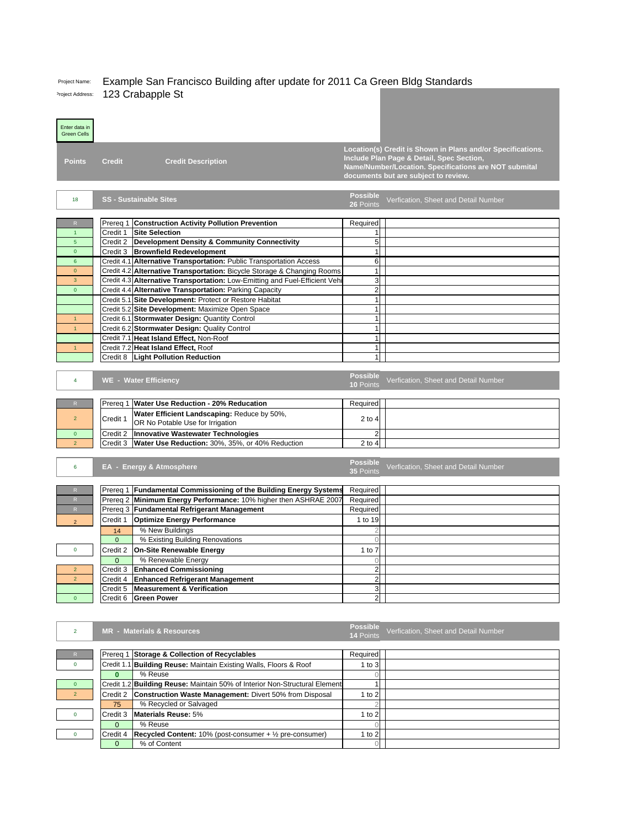## Project Name: Example San Francisco Building after update for 2011 Ca Green Bldg Standards Project Address: 123 Crabapple St

| Enter data in<br><b>Green Cells</b> |                                                                                |                                                                       |                              |                                                             |
|-------------------------------------|--------------------------------------------------------------------------------|-----------------------------------------------------------------------|------------------------------|-------------------------------------------------------------|
|                                     |                                                                                |                                                                       |                              |                                                             |
|                                     |                                                                                |                                                                       |                              | Location(s) Credit is Shown in Plans and/or Specifications. |
| <b>Points</b>                       | <b>Credit Description</b><br><b>Credit</b>                                     |                                                                       |                              | Include Plan Page & Detail, Spec Section,                   |
|                                     |                                                                                |                                                                       |                              | Name/Number/Location. Specifications are NOT submital       |
|                                     |                                                                                |                                                                       |                              | documents but are subject to review.                        |
|                                     |                                                                                |                                                                       |                              |                                                             |
| 18                                  | <b>SS - Sustainable Sites</b>                                                  |                                                                       | <b>Possible</b><br>26 Points | Verfication, Sheet and Detail Number                        |
|                                     |                                                                                |                                                                       |                              |                                                             |
| $\mathsf R$                         | Prereq 1 Construction Activity Pollution Prevention                            |                                                                       | Required                     |                                                             |
| $\overline{1}$                      | Credit 1<br><b>Site Selection</b>                                              |                                                                       | 1                            |                                                             |
| 5                                   | Credit 2 Development Density & Community Connectivity                          |                                                                       | 5                            |                                                             |
| $\overline{0}$                      | Credit 3 Brownfield Redevelopment                                              |                                                                       | 1                            |                                                             |
| $6\phantom{1}$                      | Credit 4.1 Alternative Transportation: Public Transportation Access            |                                                                       | 6                            |                                                             |
| $\mathbf{0}$                        | Credit 4.2 Alternative Transportation: Bicycle Storage & Changing Rooms        |                                                                       | 1                            |                                                             |
| $\overline{3}$                      | Credit 4.3 Alternative Transportation: Low-Emitting and Fuel-Efficient Vehi    |                                                                       | 3                            |                                                             |
| $\overline{0}$                      | Credit 4.4 Alternative Transportation: Parking Capacity                        |                                                                       | $\overline{c}$               |                                                             |
|                                     | Credit 5.1 Site Development: Protect or Restore Habitat                        |                                                                       | 1                            |                                                             |
|                                     | Credit 5.2 Site Development: Maximize Open Space                               |                                                                       | 1                            |                                                             |
| $\mathbf{1}$                        | Credit 6.1 Stormwater Design: Quantity Control                                 |                                                                       | 1                            |                                                             |
| $\overline{1}$                      | Credit 6.2 Stormwater Design: Quality Control                                  |                                                                       | 1                            |                                                             |
|                                     | Credit 7.1 Heat Island Effect, Non-Roof<br>Credit 7.2 Heat Island Effect, Roof |                                                                       | 1<br>$\mathbf{1}$            |                                                             |
| $\mathbf{1}$                        | Credit 8   Light Pollution Reduction                                           |                                                                       | 1                            |                                                             |
|                                     |                                                                                |                                                                       |                              |                                                             |
|                                     |                                                                                |                                                                       | <b>Possible</b>              |                                                             |
| 4                                   | <b>WE - Water Efficiency</b>                                                   |                                                                       | 10 Points                    | Verfication, Sheet and Detail Number                        |
|                                     |                                                                                |                                                                       |                              |                                                             |
| $\mathsf R$                         | Prereg 1 Water Use Reduction - 20% Reducation                                  |                                                                       | Required                     |                                                             |
| $\overline{2}$                      | Water Efficient Landscaping: Reduce by 50%,<br>Credit 1                        |                                                                       | $2$ to 4                     |                                                             |
|                                     | OR No Potable Use for Irrigation                                               |                                                                       |                              |                                                             |
| $\mathbf 0$                         | Innovative Wastewater Technologies<br>Credit 2                                 |                                                                       | $\overline{2}$               |                                                             |
| $\overline{2}$                      | Credit 3 Water Use Reduction: 30%, 35%, or 40% Reduction                       |                                                                       | $2$ to $4$                   |                                                             |
|                                     |                                                                                |                                                                       | <b>Possible</b>              |                                                             |
| 6                                   | EA - Energy & Atmosphere                                                       |                                                                       | 35 Points                    | Verfication, Sheet and Detail Number                        |
|                                     |                                                                                |                                                                       |                              |                                                             |
| R                                   | Prereq 1 Fundamental Commissioning of the Building Energy Systems              |                                                                       | Required                     |                                                             |
| R                                   | Prereq 2 Minimum Energy Performance: 10% higher then ASHRAE 2007               |                                                                       | Required                     |                                                             |
| R                                   | Prereq 3 Fundamental Refrigerant Management                                    |                                                                       |                              |                                                             |
| $\overline{2}$                      |                                                                                |                                                                       | Required                     |                                                             |
|                                     | Credit 1 <b>Optimize Energy Performance</b>                                    |                                                                       | 1 to 19                      |                                                             |
|                                     | % New Buildings<br>14                                                          |                                                                       | $\overline{c}$               |                                                             |
|                                     | % Existing Building Renovations<br>$\overline{0}$                              |                                                                       | $\Omega$                     |                                                             |
| 0                                   | Credit 2 On-Site Renewable Energy                                              |                                                                       | 1 to $7$                     |                                                             |
|                                     | % Renewable Energy<br>0                                                        |                                                                       | 0                            |                                                             |
| $\overline{\mathbf{c}}$             | Credit 3 Enhanced Commissioning                                                |                                                                       | $\overline{2}$               |                                                             |
| $\overline{2}$                      | Credit 4 Enhanced Refrigerant Management                                       |                                                                       | $\overline{2}$               |                                                             |
|                                     | Credit 5 Measurement & Verification                                            |                                                                       | 3                            |                                                             |
| $\pmb{\mathsf{O}}$                  | Credit 6<br><b>Green Power</b>                                                 |                                                                       | $\mathbf{2}$                 |                                                             |
|                                     |                                                                                |                                                                       |                              |                                                             |
|                                     |                                                                                |                                                                       |                              |                                                             |
| $\overline{2}$                      | <b>MR - Materials &amp; Resources</b>                                          |                                                                       | <b>Possible</b><br>14 Points | Verfication, Sheet and Detail Number                        |
|                                     |                                                                                |                                                                       |                              |                                                             |
| ${\sf R}$                           | Prereq 1 Storage & Collection of Recyclables                                   |                                                                       | Required                     |                                                             |
| 0                                   | Credit 1.1 Building Reuse: Maintain Existing Walls, Floors & Roof              |                                                                       | $1$ to $3$                   |                                                             |
|                                     | % Reuse<br>$\bf{0}$                                                            |                                                                       | $\overline{0}$               |                                                             |
| $\pmb{0}$                           | Credit 1.2 Building Reuse: Maintain 50% of Interior Non-Structural Element     |                                                                       | 1                            |                                                             |
| $\overline{2}$                      | Credit 2                                                                       | Construction Waste Management: Divert 50% from Disposal               | 1 to $2$                     |                                                             |
|                                     | % Recycled or Salvaged<br>75                                                   |                                                                       |                              |                                                             |
| 0                                   | <b>Materials Reuse: 5%</b><br>Credit 3                                         |                                                                       | $1$ to $2$                   |                                                             |
|                                     | % Reuse<br>$\mathbf 0$                                                         |                                                                       | Ω                            |                                                             |
| 0                                   | Credit 4<br>% of Content<br>$\mathbf{0}$                                       | Recycled Content: $10\%$ (post-consumer + $\frac{1}{2}$ pre-consumer) | 1 to $2$<br>0                |                                                             |